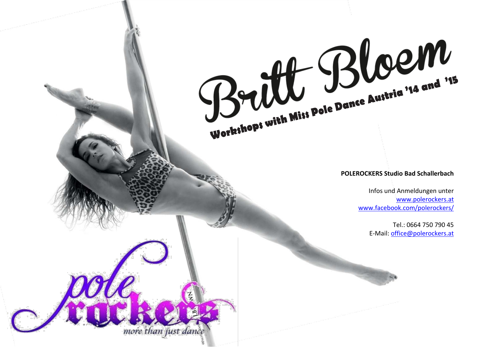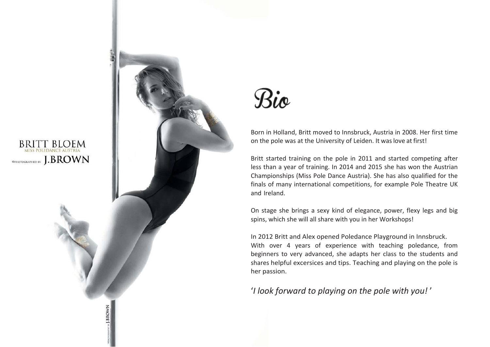

J.BROWN



Born in Holland, Britt moved to Innsbruck, Austria in 2008. Her first time on the pole was at the University of Leiden. It waslove at first!

Britt started training on the pole in 2011 and started competing after less than a year of training. In 2014 and 2015 she has won the Austrian Championships (Miss Pole Dance Austria). She has also qualified for the finals of many international competitions, for example Pole Theatre UK and Ireland.

On stage she brings a sexy kind of elegance, power, flexy legs and big spins, which she will all share with you in her Workshops!

In 2012 Britt and Alex opened Poledance Playground in Innsbruck. With over 4 years of experience with teaching poledance, from beginners to very advanced, she adapts her class to the students and shares helpful excersices and tips. Teaching and playing on the pole is her passion.

'*I look forward to playing on the pole with you!* '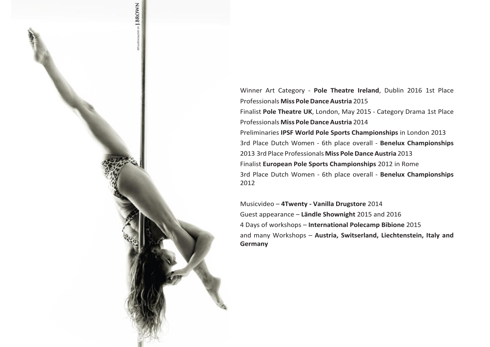

Winner Art Category - **Pole Theatre Ireland**, Dublin 2016 1st Place Professionals **Miss PoleDance Austria** 2015 Finalist **Pole Theatre UK**, London, May 2015 - Category Drama 1st Place Professionals **Miss PoleDance Austria** 2014 Preliminaries **IPSF World Pole Sports Championships** in London 2013 3rd Place Dutch Women - 6th place overall - **Benelux Championships** 2013 3rd Place Professionals **Miss PoleDance Austria** 2013 Finalist **European Pole Sports Championships** 2012 in Rome 3rd Place Dutch Women - 6th place overall - **Benelux Championships**  2012

Musicvideo – **4Twenty - Vanilla Drugstore** 2014 Guest appearance – **Ländle Shownight** 2015 and 2016 4 Days of workshops – **International Polecamp Bibione** 2015 and many Workshops – **Austria, Switserland, Liechtenstein, Italy and Germany**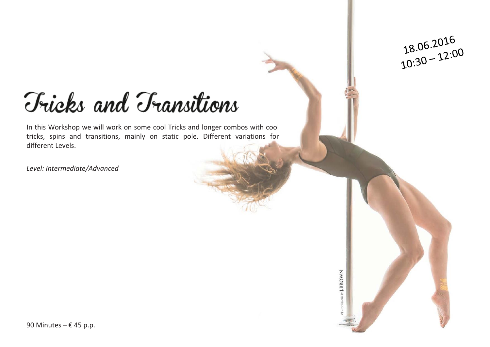## Fricks and Transitions

In this Workshop we will work on some cool Tricks and longer combos with cool tricks, spins and transitions, mainly on static pole. Different variations for different Levels.

*Level: Intermediate/Advanced*

ADM IN J.BROWN

18.06.2016<br>10:30 – 12:00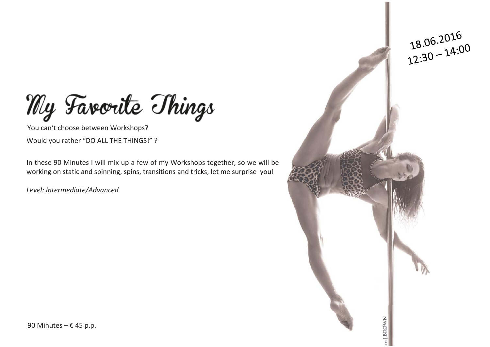My Favorite Things

You can't choose between Workshops? Would you rather "DO ALL THE THINGS!" ?

In these 90 Minutes I will mix up a few of my Workshops together, so we will be working on static and spinning, spins, transitions and tricks, let me surprise you!

*Level: Intermediate/Advanced*